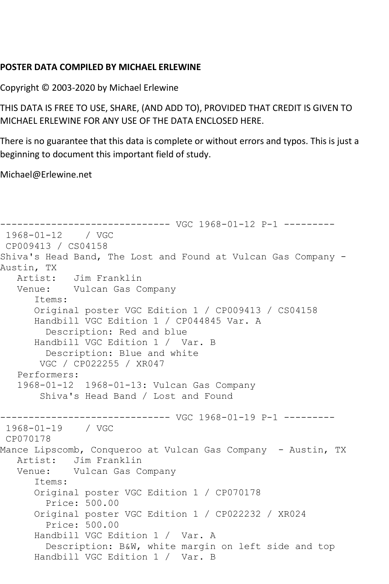## **POSTER DATA COMPILED BY MICHAEL ERLEWINE**

Copyright © 2003-2020 by Michael Erlewine

THIS DATA IS FREE TO USE, SHARE, (AND ADD TO), PROVIDED THAT CREDIT IS GIVEN TO MICHAEL ERLEWINE FOR ANY USE OF THE DATA ENCLOSED HERE.

There is no guarantee that this data is complete or without errors and typos. This is just a beginning to document this important field of study.

Michael@Erlewine.net

```
------------------------------ VGC 1968-01-12 P-1 ---------
1968-01-12 / VGC 
CP009413 / CS04158
Shiva's Head Band, The Lost and Found at Vulcan Gas Company -
Austin, TX
   Artist: Jim Franklin
   Venue: Vulcan Gas Company
      Items:
      Original poster VGC Edition 1 / CP009413 / CS04158
      Handbill VGC Edition 1 / CP044845 Var. A
         Description: Red and blue
      Handbill VGC Edition 1 / Var. B
         Description: Blue and white
       VGC / CP022255 / XR047
   Performers:
   1968-01-12 1968-01-13: Vulcan Gas Company
        Shiva's Head Band / Lost and Found
------------------------------ VGC 1968-01-19 P-1 ---------
1968-01-19 / VGC 
CP070178
Mance Lipscomb, Conqueroo at Vulcan Gas Company - Austin, TX
   Artist: Jim Franklin
   Venue: Vulcan Gas Company
       Items:
      Original poster VGC Edition 1 / CP070178
         Price: 500.00
      Original poster VGC Edition 1 / CP022232 / XR024
         Price: 500.00
      Handbill VGC Edition 1 / Var. A
         Description: B&W, white margin on left side and top
      Handbill VGC Edition 1 / Var. B
```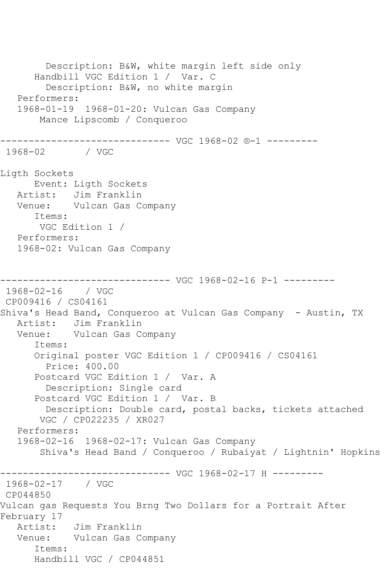Description: B&W, white margin left side only Handbill VGC Edition 1 / Var. C Description: B&W, no white margin Performers: 1968-01-19 1968-01-20: Vulcan Gas Company Mance Lipscomb / Conqueroo ------------------------------ VGC 1968-02 ®-1 --------- 1968-02 / VGC Ligth Sockets Event: Ligth Sockets Artist: Jim Franklin Venue: Vulcan Gas Company Items: VGC Edition 1 / Performers: 1968-02: Vulcan Gas Company ------------------------------ VGC 1968-02-16 P-1 --------- 1968-02-16 / VGC CP009416 / CS04161 Shiva's Head Band, Conqueroo at Vulcan Gas Company - Austin, TX Artist: Jim Franklin<br>Venue: Vulcan Gas Co Vulcan Gas Company Items: Original poster VGC Edition 1 / CP009416 / CS04161 Price: 400.00 Postcard VGC Edition 1 / Var. A Description: Single card Postcard VGC Edition 1 / Var. B Description: Double card, postal backs, tickets attached VGC / CP022235 / XR027 Performers: 1968-02-16 1968-02-17: Vulcan Gas Company Shiva's Head Band / Conqueroo / Rubaiyat / Lightnin' Hopkins ------------------------------ VGC 1968-02-17 H --------- 1968-02-17 / VGC CP044850 Vulcan gas Requests You Brng Two Dollars for a Portrait After February 17 Artist: Jim Franklin Venue: Vulcan Gas Company Items: Handbill VGC / CP044851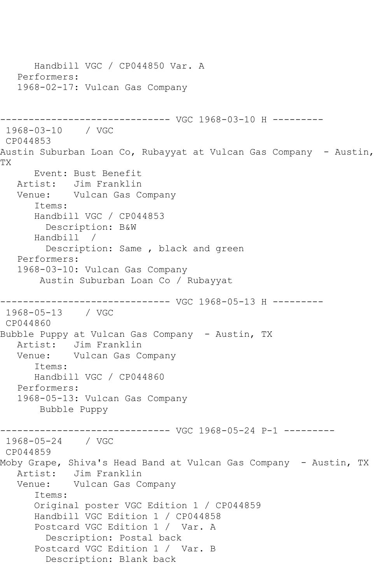Handbill VGC / CP044850 Var. A Performers: 1968-02-17: Vulcan Gas Company ------------------------------ VGC 1968-03-10 H --------- 1968-03-10 / VGC CP044853 Austin Suburban Loan Co, Rubayyat at Vulcan Gas Company - Austin, TX Event: Bust Benefit Artist: Jim Franklin Venue: Vulcan Gas Company Items: Handbill VGC / CP044853 Description: B&W Handbill / Description: Same , black and green Performers: 1968-03-10: Vulcan Gas Company Austin Suburban Loan Co / Rubayyat ------------------------------ VGC 1968-05-13 H --------- 1968-05-13 / VGC CP044860 Bubble Puppy at Vulcan Gas Company - Austin, TX Artist: Jim Franklin Venue: Vulcan Gas Company Items: Handbill VGC / CP044860 Performers: 1968-05-13: Vulcan Gas Company Bubble Puppy ------------------------------ VGC 1968-05-24 P-1 --------- 1968-05-24 / VGC CP044859 Moby Grape, Shiva's Head Band at Vulcan Gas Company - Austin, TX Artist: Jim Franklin Venue: Vulcan Gas Company Items: Original poster VGC Edition 1 / CP044859 Handbill VGC Edition 1 / CP044858 Postcard VGC Edition 1 / Var. A Description: Postal back Postcard VGC Edition 1 / Var. B Description: Blank back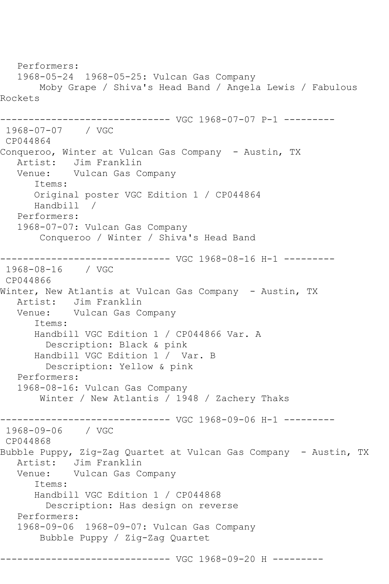Performers: 1968-05-24 1968-05-25: Vulcan Gas Company Moby Grape / Shiva's Head Band / Angela Lewis / Fabulous Rockets ------------------------------ VGC 1968-07-07 P-1 --------- 1968-07-07 / VGC CP044864 Conqueroo, Winter at Vulcan Gas Company - Austin, TX Artist: Jim Franklin Venue: Vulcan Gas Company Items: Original poster VGC Edition 1 / CP044864 Handbill / Performers: 1968-07-07: Vulcan Gas Company Conqueroo / Winter / Shiva's Head Band ------------------------------ VGC 1968-08-16 H-1 --------- 1968-08-16 / VGC CP044866 Winter, New Atlantis at Vulcan Gas Company - Austin, TX Artist: Jim Franklin Venue: Vulcan Gas Company Items: Handbill VGC Edition 1 / CP044866 Var. A Description: Black & pink Handbill VGC Edition 1 / Var. B Description: Yellow & pink Performers: 1968-08-16: Vulcan Gas Company Winter / New Atlantis / 1948 / Zachery Thaks ------------------------------ VGC 1968-09-06 H-1 --------- 1968-09-06 / VGC CP044868 Bubble Puppy, Zig-Zag Quartet at Vulcan Gas Company - Austin, TX Artist: Jim Franklin Venue: Vulcan Gas Company Items: Handbill VGC Edition 1 / CP044868 Description: Has design on reverse Performers: 1968-09-06 1968-09-07: Vulcan Gas Company Bubble Puppy / Zig-Zag Quartet ------------------------------ VGC 1968-09-20 H ---------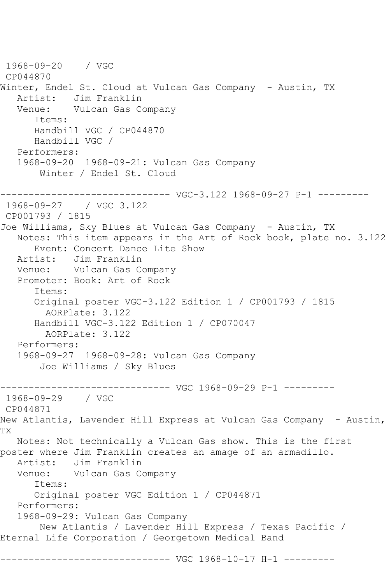1968-09-20 / VGC CP044870 Winter, Endel St. Cloud at Vulcan Gas Company - Austin, TX Artist: Jim Franklin<br>Venue: Vulcan Gas C Vulcan Gas Company Items: Handbill VGC / CP044870 Handbill VGC / Performers: 1968-09-20 1968-09-21: Vulcan Gas Company Winter / Endel St. Cloud ------------------------------ VGC-3.122 1968-09-27 P-1 --------- 1968-09-27 / VGC 3.122 CP001793 / 1815 Joe Williams, Sky Blues at Vulcan Gas Company - Austin, TX Notes: This item appears in the Art of Rock book, plate no. 3.122 Event: Concert Dance Lite Show<br>Artist: Jim Franklin Jim Franklin Venue: Vulcan Gas Company Promoter: Book: Art of Rock Items: Original poster VGC-3.122 Edition 1 / CP001793 / 1815 AORPlate: 3.122 Handbill VGC-3.122 Edition 1 / CP070047 AORPlate: 3.122 Performers: 1968-09-27 1968-09-28: Vulcan Gas Company Joe Williams / Sky Blues ------------------------------ VGC 1968-09-29 P-1 --------- 1968-09-29 / VGC CP044871 New Atlantis, Lavender Hill Express at Vulcan Gas Company - Austin, TX Notes: Not technically a Vulcan Gas show. This is the first poster where Jim Franklin creates an amage of an armadillo. Artist: Jim Franklin Venue: Vulcan Gas Company Items: Original poster VGC Edition 1 / CP044871 Performers: 1968-09-29: Vulcan Gas Company New Atlantis / Lavender Hill Express / Texas Pacific / Eternal Life Corporation / Georgetown Medical Band ------------------------------ VGC 1968-10-17 H-1 ---------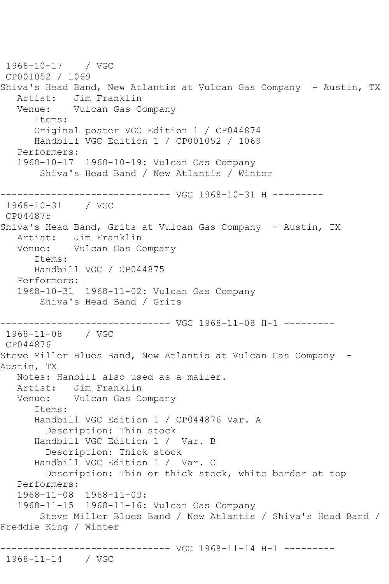1968-10-17 / VGC CP001052 / 1069 Shiva's Head Band, New Atlantis at Vulcan Gas Company - Austin, TX Artist: Jim Franklin<br>Venue: Vulcan Gas C Vulcan Gas Company Items: Original poster VGC Edition 1 / CP044874 Handbill VGC Edition 1 / CP001052 / 1069 Performers: 1968-10-17 1968-10-19: Vulcan Gas Company Shiva's Head Band / New Atlantis / Winter ------------------------------ VGC 1968-10-31 H --------- 1968-10-31 / VGC CP044875 Shiva's Head Band, Grits at Vulcan Gas Company - Austin, TX Artist: Jim Franklin Venue: Vulcan Gas Company Items: Handbill VGC / CP044875 Performers: 1968-10-31 1968-11-02: Vulcan Gas Company Shiva's Head Band / Grits ------------------------------ VGC 1968-11-08 H-1 --------- 1968-11-08 / VGC CP044876 Steve Miller Blues Band, New Atlantis at Vulcan Gas Company - Austin, TX Notes: Hanbill also used as a mailer. Artist: Jim Franklin Venue: Vulcan Gas Company Items: Handbill VGC Edition 1 / CP044876 Var. A Description: Thin stock Handbill VGC Edition 1 / Var. B Description: Thick stock Handbill VGC Edition 1 / Var. C Description: Thin or thick stock, white border at top Performers: 1968-11-08 1968-11-09: 1968-11-15 1968-11-16: Vulcan Gas Company Steve Miller Blues Band / New Atlantis / Shiva's Head Band / Freddie King / Winter ------------------------------ VGC 1968-11-14 H-1 --------- 1968-11-14 / VGC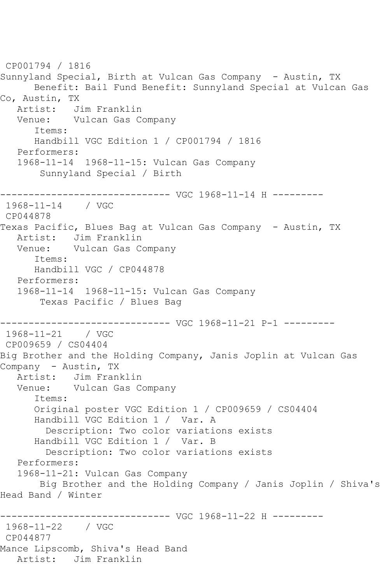CP001794 / 1816 Sunnyland Special, Birth at Vulcan Gas Company - Austin, TX Benefit: Bail Fund Benefit: Sunnyland Special at Vulcan Gas Co, Austin, TX Artist: Jim Franklin Venue: Vulcan Gas Company Items: Handbill VGC Edition 1 / CP001794 / 1816 Performers: 1968-11-14 1968-11-15: Vulcan Gas Company Sunnyland Special / Birth ------------------------------ VGC 1968-11-14 H --------- 1968-11-14 / VGC CP044878 Texas Pacific, Blues Bag at Vulcan Gas Company - Austin, TX Artist: Jim Franklin Venue: Vulcan Gas Company Items: Handbill VGC / CP044878 Performers: 1968-11-14 1968-11-15: Vulcan Gas Company Texas Pacific / Blues Bag ------------------------------ VGC 1968-11-21 P-1 --------- 1968-11-21 / VGC CP009659 / CS04404 Big Brother and the Holding Company, Janis Joplin at Vulcan Gas Company - Austin, TX<br>Artist: Jim Fran Jim Franklin Venue: Vulcan Gas Company Items: Original poster VGC Edition 1 / CP009659 / CS04404 Handbill VGC Edition 1 / Var. A Description: Two color variations exists Handbill VGC Edition 1 / Var. B Description: Two color variations exists Performers: 1968-11-21: Vulcan Gas Company Big Brother and the Holding Company / Janis Joplin / Shiva's Head Band / Winter ------------------------------ VGC 1968-11-22 H --------- 1968-11-22 / VGC CP044877 Mance Lipscomb, Shiva's Head Band Artist: Jim Franklin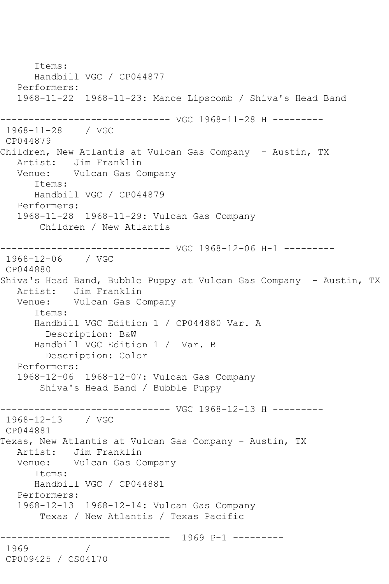Items: Handbill VGC / CP044877 Performers: 1968-11-22 1968-11-23: Mance Lipscomb / Shiva's Head Band ------------------------------ VGC 1968-11-28 H --------- 1968-11-28 / VGC CP044879 Children, New Atlantis at Vulcan Gas Company - Austin, TX Artist: Jim Franklin Venue: Vulcan Gas Company Items: Handbill VGC / CP044879 Performers: 1968-11-28 1968-11-29: Vulcan Gas Company Children / New Atlantis ------------------------------ VGC 1968-12-06 H-1 --------- 1968-12-06 / VGC CP044880 Shiva's Head Band, Bubble Puppy at Vulcan Gas Company - Austin, TX Artist: Jim Franklin Venue: Vulcan Gas Company Items: Handbill VGC Edition 1 / CP044880 Var. A Description: B&W Handbill VGC Edition 1 / Var. B Description: Color Performers: 1968-12-06 1968-12-07: Vulcan Gas Company Shiva's Head Band / Bubble Puppy ------------------------------ VGC 1968-12-13 H --------- 1968-12-13 / VGC CP044881 Texas, New Atlantis at Vulcan Gas Company - Austin, TX Artist: Jim Franklin Venue: Vulcan Gas Company Items: Handbill VGC / CP044881 Performers: 1968-12-13 1968-12-14: Vulcan Gas Company Texas / New Atlantis / Texas Pacific ------------------------------ 1969 P-1 --------- 1969 / CP009425 / CS04170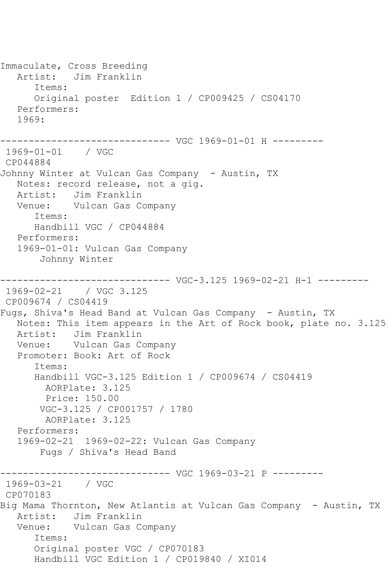Immaculate, Cross Breeding Artist: Jim Franklin Items: Original poster Edition 1 / CP009425 / CS04170 Performers: 1969: ------------------------------ VGC 1969-01-01 H --------- 1969-01-01 / VGC CP044884 Johnny Winter at Vulcan Gas Company - Austin, TX Notes: record release, not a gig. Artist: Jim Franklin Venue: Vulcan Gas Company Items: Handbill VGC / CP044884 Performers: 1969-01-01: Vulcan Gas Company Johnny Winter ------------------------------ VGC-3.125 1969-02-21 H-1 --------- 1969-02-21 / VGC 3.125 CP009674 / CS04419 Fugs, Shiva's Head Band at Vulcan Gas Company - Austin, TX Notes: This item appears in the Art of Rock book, plate no. 3.125 Artist: Jim Franklin Venue: Vulcan Gas Company Promoter: Book: Art of Rock Items: Handbill VGC-3.125 Edition 1 / CP009674 / CS04419 AORPlate: 3.125 Price: 150.00 VGC-3.125 / CP001757 / 1780 AORPlate: 3.125 Performers: 1969-02-21 1969-02-22: Vulcan Gas Company Fugs / Shiva's Head Band ------------------------------ VGC 1969-03-21 P --------- 1969-03-21 / VGC CP070183 Big Mama Thornton, New Atlantis at Vulcan Gas Company - Austin, TX Artist: Jim Franklin Venue: Vulcan Gas Company Items: Original poster VGC / CP070183 Handbill VGC Edition 1 / CP019840 / XI014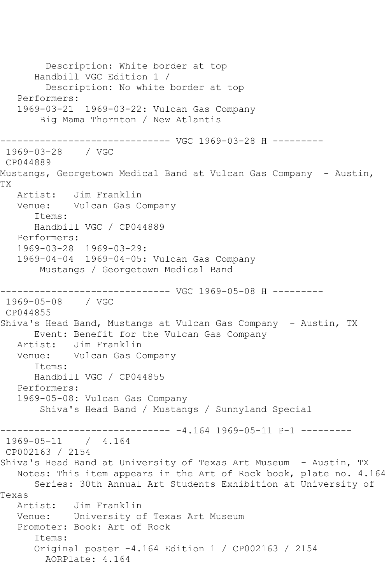Description: White border at top Handbill VGC Edition 1 / Description: No white border at top Performers: 1969-03-21 1969-03-22: Vulcan Gas Company Big Mama Thornton / New Atlantis ------------------------------ VGC 1969-03-28 H --------- 1969-03-28 / VGC CP044889 Mustangs, Georgetown Medical Band at Vulcan Gas Company - Austin, TX Artist: Jim Franklin Venue: Vulcan Gas Company Items: Handbill VGC / CP044889 Performers: 1969-03-28 1969-03-29: 1969-04-04 1969-04-05: Vulcan Gas Company Mustangs / Georgetown Medical Band ------------------------------ VGC 1969-05-08 H --------- 1969-05-08 / VGC CP044855 Shiva's Head Band, Mustangs at Vulcan Gas Company - Austin, TX Event: Benefit for the Vulcan Gas Company Artist: Jim Franklin Venue: Vulcan Gas Company Items: Handbill VGC / CP044855 Performers: 1969-05-08: Vulcan Gas Company Shiva's Head Band / Mustangs / Sunnyland Special ------------------------------ -4.164 1969-05-11 P-1 --------- 1969-05-11 / 4.164 CP002163 / 2154 Shiva's Head Band at University of Texas Art Museum - Austin, TX Notes: This item appears in the Art of Rock book, plate no. 4.164 Series: 30th Annual Art Students Exhibition at University of Texas Artist: Jim Franklin Venue: University of Texas Art Museum Promoter: Book: Art of Rock Items: Original poster -4.164 Edition 1 / CP002163 / 2154 AORPlate: 4.164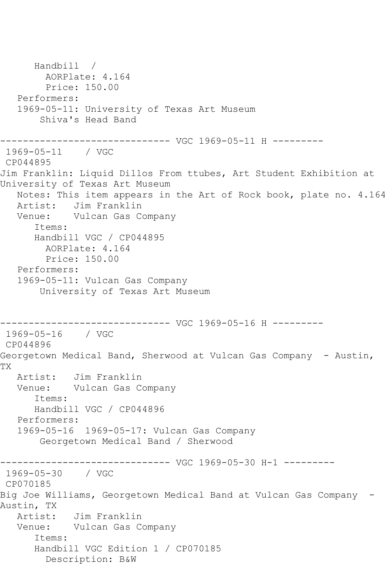Handbill / AORPlate: 4.164 Price: 150.00 Performers: 1969-05-11: University of Texas Art Museum Shiva's Head Band ------------------------------ VGC 1969-05-11 H --------- 1969-05-11 / VGC CP044895 Jim Franklin: Liquid Dillos From ttubes, Art Student Exhibition at University of Texas Art Museum Notes: This item appears in the Art of Rock book, plate no. 4.164 Artist: Jim Franklin Venue: Vulcan Gas Company Items: Handbill VGC / CP044895 AORPlate: 4.164 Price: 150.00 Performers: 1969-05-11: Vulcan Gas Company University of Texas Art Museum ------------------------------ VGC 1969-05-16 H --------- 1969-05-16 / VGC CP044896 Georgetown Medical Band, Sherwood at Vulcan Gas Company - Austin, TX Artist: Jim Franklin Venue: Vulcan Gas Company Items: Handbill VGC / CP044896 Performers: 1969-05-16 1969-05-17: Vulcan Gas Company Georgetown Medical Band / Sherwood ------------------------------ VGC 1969-05-30 H-1 --------- 1969-05-30 / VGC CP070185 Big Joe Williams, Georgetown Medical Band at Vulcan Gas Company - Austin, TX Artist: Jim Franklin Venue: Vulcan Gas Company Items: Handbill VGC Edition 1 / CP070185 Description: B&W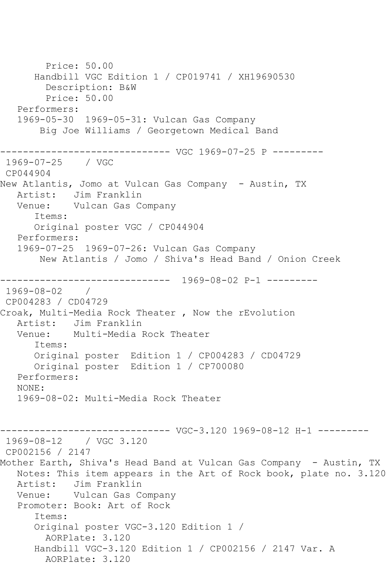Price: 50.00 Handbill VGC Edition 1 / CP019741 / XH19690530 Description: B&W Price: 50.00 Performers: 1969-05-30 1969-05-31: Vulcan Gas Company Big Joe Williams / Georgetown Medical Band ------------------------------ VGC 1969-07-25 P --------- 1969-07-25 / VGC CP044904 New Atlantis, Jomo at Vulcan Gas Company - Austin, TX Artist: Jim Franklin Venue: Vulcan Gas Company Items: Original poster VGC / CP044904 Performers: 1969-07-25 1969-07-26: Vulcan Gas Company New Atlantis / Jomo / Shiva's Head Band / Onion Creek ------------------------------ 1969-08-02 P-1 --------- 1969-08-02 / CP004283 / CD04729 Croak, Multi-Media Rock Theater , Now the rEvolution Artist: Jim Franklin<br>Venue: Multi-Media I Multi-Media Rock Theater Items: Original poster Edition 1 / CP004283 / CD04729 Original poster Edition 1 / CP700080 Performers: NONE: 1969-08-02: Multi-Media Rock Theater ----- VGC-3.120 1969-08-12 H-1 ---------1969-08-12 / VGC 3.120 CP002156 / 2147 Mother Earth, Shiva's Head Band at Vulcan Gas Company - Austin, TX Notes: This item appears in the Art of Rock book, plate no. 3.120 Artist: Jim Franklin Venue: Vulcan Gas Company Promoter: Book: Art of Rock Items: Original poster VGC-3.120 Edition 1 / AORPlate: 3.120 Handbill VGC-3.120 Edition 1 / CP002156 / 2147 Var. A AORPlate: 3.120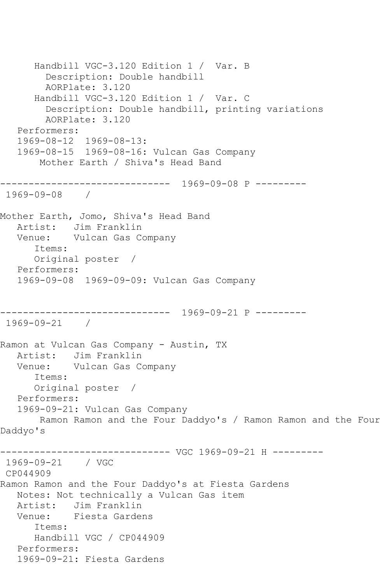Handbill VGC-3.120 Edition 1 / Var. B Description: Double handbill AORPlate: 3.120 Handbill VGC-3.120 Edition 1 / Var. C Description: Double handbill, printing variations AORPlate: 3.120 Performers: 1969-08-12 1969-08-13: 1969-08-15 1969-08-16: Vulcan Gas Company Mother Earth / Shiva's Head Band ------------------------------ 1969-09-08 P --------- 1969-09-08 / Mother Earth, Jomo, Shiva's Head Band Artist: Jim Franklin Venue: Vulcan Gas Company Items: Original poster / Performers: 1969-09-08 1969-09-09: Vulcan Gas Company ------------------------------ 1969-09-21 P --------- 1969-09-21 / Ramon at Vulcan Gas Company - Austin, TX Artist: Jim Franklin Venue: Vulcan Gas Company Items: Original poster / Performers: 1969-09-21: Vulcan Gas Company Ramon Ramon and the Four Daddyo's / Ramon Ramon and the Four Daddyo's ------------------------------ VGC 1969-09-21 H --------- 1969-09-21 / VGC CP044909 Ramon Ramon and the Four Daddyo's at Fiesta Gardens Notes: Not technically a Vulcan Gas item Artist: Jim Franklin Venue: Fiesta Gardens Items: Handbill VGC / CP044909 Performers: 1969-09-21: Fiesta Gardens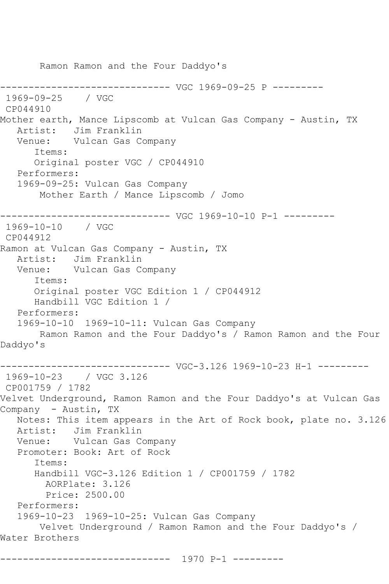Ramon Ramon and the Four Daddyo's ------------------------------ VGC 1969-09-25 P --------- 1969-09-25 / VGC CP044910 Mother earth, Mance Lipscomb at Vulcan Gas Company - Austin, TX Artist: Jim Franklin Venue: Vulcan Gas Company Items: Original poster VGC / CP044910 Performers: 1969-09-25: Vulcan Gas Company Mother Earth / Mance Lipscomb / Jomo ------------------------------ VGC 1969-10-10 P-1 --------- 1969-10-10 / VGC CP044912 Ramon at Vulcan Gas Company - Austin, TX Artist: Jim Franklin<br>Venue: Vulcan Gas Co Vulcan Gas Company Items: Original poster VGC Edition 1 / CP044912 Handbill VGC Edition 1 / Performers: 1969-10-10 1969-10-11: Vulcan Gas Company Ramon Ramon and the Four Daddyo's / Ramon Ramon and the Four Daddyo's ------------------------------ VGC-3.126 1969-10-23 H-1 --------- 1969-10-23 / VGC 3.126 CP001759 / 1782 Velvet Underground, Ramon Ramon and the Four Daddyo's at Vulcan Gas Company - Austin, TX Notes: This item appears in the Art of Rock book, plate no. 3.126 Artist: Jim Franklin Venue: Vulcan Gas Company Promoter: Book: Art of Rock Items: Handbill VGC-3.126 Edition 1 / CP001759 / 1782 AORPlate: 3.126 Price: 2500.00 Performers: 1969-10-23 1969-10-25: Vulcan Gas Company Velvet Underground / Ramon Ramon and the Four Daddyo's / Water Brothers

------------------------------ 1970 P-1 ---------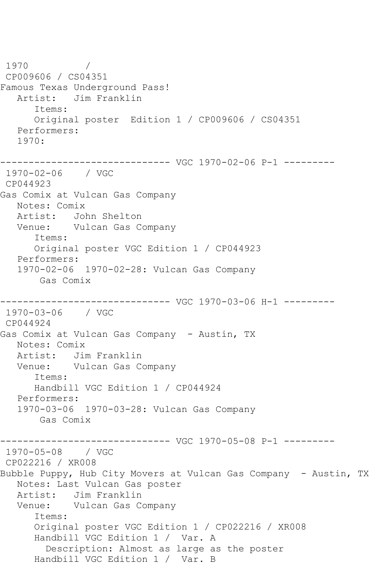1970 / CP009606 / CS04351 Famous Texas Underground Pass! Artist: Jim Franklin Items: Original poster Edition 1 / CP009606 / CS04351 Performers: 1970: ------------------------------ VGC 1970-02-06 P-1 --------- 1970-02-06 / VGC CP044923 Gas Comix at Vulcan Gas Company Notes: Comix Artist: John Shelton Venue: Vulcan Gas Company Items: Original poster VGC Edition 1 / CP044923 Performers: 1970-02-06 1970-02-28: Vulcan Gas Company Gas Comix ------------------------------ VGC 1970-03-06 H-1 --------- 1970-03-06 / VGC CP044924 Gas Comix at Vulcan Gas Company - Austin, TX Notes: Comix Artist: Jim Franklin Venue: Vulcan Gas Company Items: Handbill VGC Edition 1 / CP044924 Performers: 1970-03-06 1970-03-28: Vulcan Gas Company Gas Comix ------------------------------ VGC 1970-05-08 P-1 --------- 1970-05-08 / VGC CP022216 / XR008 Bubble Puppy, Hub City Movers at Vulcan Gas Company - Austin, TX Notes: Last Vulcan Gas poster Artist: Jim Franklin Venue: Vulcan Gas Company Items: Original poster VGC Edition 1 / CP022216 / XR008 Handbill VGC Edition 1 / Var. A Description: Almost as large as the poster Handbill VGC Edition 1 / Var. B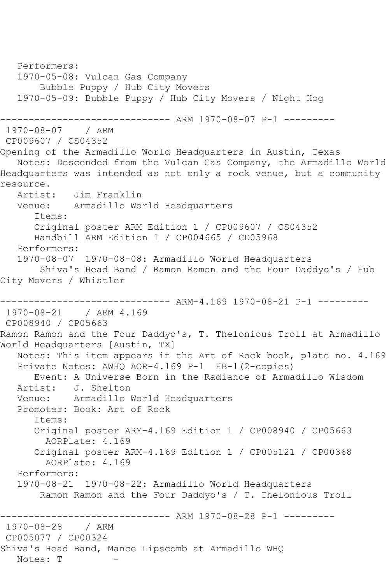Performers: 1970-05-08: Vulcan Gas Company Bubble Puppy / Hub City Movers 1970-05-09: Bubble Puppy / Hub City Movers / Night Hog ------------ ARM 1970-08-07 P-1 ---------1970-08-07 / ARM CP009607 / CS04352 Opening of the Armadillo World Headquarters in Austin, Texas Notes: Descended from the Vulcan Gas Company, the Armadillo World Headquarters was intended as not only a rock venue, but a community resource.<br>Artist: Jim Franklin Venue: Armadillo World Headquarters Items: Original poster ARM Edition 1 / CP009607 / CS04352 Handbill ARM Edition 1 / CP004665 / CD05968 Performers: 1970-08-07 1970-08-08: Armadillo World Headquarters Shiva's Head Band / Ramon Ramon and the Four Daddyo's / Hub City Movers / Whistler ------------------------------ ARM-4.169 1970-08-21 P-1 --------- 1970-08-21 / ARM 4.169 CP008940 / CP05663 Ramon Ramon and the Four Daddyo's, T. Thelonious Troll at Armadillo World Headquarters [Austin, TX] Notes: This item appears in the Art of Rock book, plate no. 4.169 Private Notes: AWHQ AOR-4.169 P-1 HB-1(2-copies) Event: A Universe Born in the Radiance of Armadillo Wisdom Artist: J. Shelton Venue: Armadillo World Headquarters Promoter: Book: Art of Rock Items: Original poster ARM-4.169 Edition 1 / CP008940 / CP05663 AORPlate: 4.169 Original poster ARM-4.169 Edition 1 / CP005121 / CP00368 AORPlate: 4.169 Performers: 1970-08-21 1970-08-22: Armadillo World Headquarters Ramon Ramon and the Four Daddyo's / T. Thelonious Troll ----------------- ARM 1970-08-28 P-1 ----------<br>/ ARM 1970-08-28 CP005077 / CP00324 Shiva's Head Band, Mance Lipscomb at Armadillo WHQ Notes: T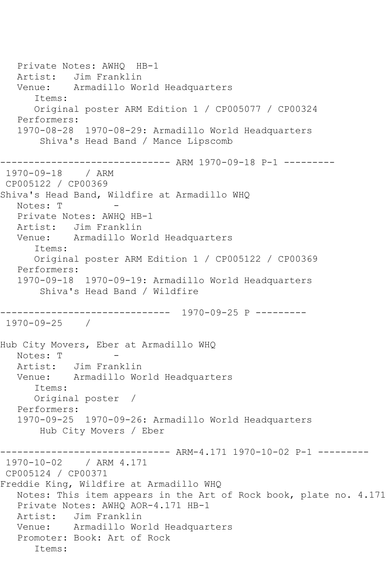Private Notes: AWHQ HB-1 Artist: Jim Franklin Venue: Armadillo World Headquarters Items: Original poster ARM Edition 1 / CP005077 / CP00324 Performers: 1970-08-28 1970-08-29: Armadillo World Headquarters Shiva's Head Band / Mance Lipscomb ------------------------------ ARM 1970-09-18 P-1 --------- 1970-09-18 / ARM CP005122 / CP00369 Shiva's Head Band, Wildfire at Armadillo WHQ Notes: T - Private Notes: AWHQ HB-1 Artist: Jim Franklin Venue: Armadillo World Headquarters Items: Original poster ARM Edition 1 / CP005122 / CP00369 Performers: 1970-09-18 1970-09-19: Armadillo World Headquarters Shiva's Head Band / Wildfire ------------------------------ 1970-09-25 P --------- 1970-09-25 / Hub City Movers, Eber at Armadillo WHQ Notes: T Artist: Jim Franklin Venue: Armadillo World Headquarters Items: Original poster / Performers: 1970-09-25 1970-09-26: Armadillo World Headquarters Hub City Movers / Eber ------------------------------ ARM-4.171 1970-10-02 P-1 --------- 1970-10-02 / ARM 4.171 CP005124 / CP00371 Freddie King, Wildfire at Armadillo WHQ Notes: This item appears in the Art of Rock book, plate no. 4.171 Private Notes: AWHQ AOR-4.171 HB-1 Artist: Jim Franklin Venue: Armadillo World Headquarters Promoter: Book: Art of Rock Items: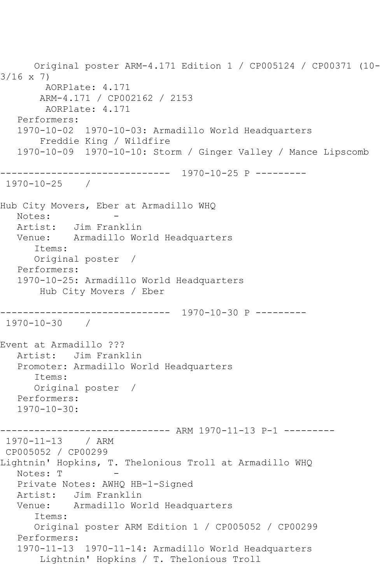```
 Original poster ARM-4.171 Edition 1 / CP005124 / CP00371 (10-
3/16 x 7)
        AORPlate: 4.171 
        ARM-4.171 / CP002162 / 2153
         AORPlate: 4.171 
   Performers:
   1970-10-02 1970-10-03: Armadillo World Headquarters
        Freddie King / Wildfire
    1970-10-09 1970-10-10: Storm / Ginger Valley / Mance Lipscomb
------------------------------ 1970-10-25 P ---------
1970-10-25 / 
Hub City Movers, Eber at Armadillo WHQ
  Notes:<br>Artist:
            Jim Franklin
   Venue: Armadillo World Headquarters
       Items:
       Original poster / 
   Performers:
    1970-10-25: Armadillo World Headquarters
        Hub City Movers / Eber
------------------------------ 1970-10-30 P ---------
1970-10-30 / 
Event at Armadillo ???
   Artist: Jim Franklin
   Promoter: Armadillo World Headquarters
       Items:
      Original poster / 
    Performers:
   1970 - 10 - 30:------------------------------ ARM 1970-11-13 P-1 ---------
1970-11-13 / ARM 
CP005052 / CP00299
Lightnin' Hopkins, T. Thelonious Troll at Armadillo WHQ
  Notes: T
    Private Notes: AWHQ HB-1-Signed
   Artist: Jim Franklin
   Venue: Armadillo World Headquarters
       Items:
       Original poster ARM Edition 1 / CP005052 / CP00299
   Performers:
   1970-11-13 1970-11-14: Armadillo World Headquarters
        Lightnin' Hopkins / T. Thelonious Troll
```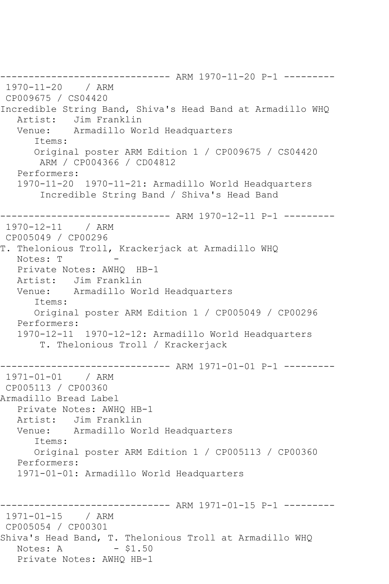------------------------------ ARM 1970-11-20 P-1 --------- 1970-11-20 / ARM CP009675 / CS04420 Incredible String Band, Shiva's Head Band at Armadillo WHQ Artist: Jim Franklin<br>Venue: Armadillo Wo: Armadillo World Headquarters Items: Original poster ARM Edition 1 / CP009675 / CS04420 ARM / CP004366 / CD04812 Performers: 1970-11-20 1970-11-21: Armadillo World Headquarters Incredible String Band / Shiva's Head Band ------------------------------ ARM 1970-12-11 P-1 --------- 1970-12-11 / ARM CP005049 / CP00296 T. Thelonious Troll, Krackerjack at Armadillo WHQ Notes: T Private Notes: AWHQ HB-1 Artist: Jim Franklin Venue: Armadillo World Headquarters Items: Original poster ARM Edition 1 / CP005049 / CP00296 Performers: 1970-12-11 1970-12-12: Armadillo World Headquarters T. Thelonious Troll / Krackerjack ------------------------------ ARM 1971-01-01 P-1 --------- 1971-01-01 / ARM CP005113 / CP00360 Armadillo Bread Label Private Notes: AWHQ HB-1 Artist: Jim Franklin Venue: Armadillo World Headquarters Items: Original poster ARM Edition 1 / CP005113 / CP00360 Performers: 1971-01-01: Armadillo World Headquarters ------------------------------ ARM 1971-01-15 P-1 --------- 1971-01-15 / ARM CP005054 / CP00301 Shiva's Head Band, T. Thelonious Troll at Armadillo WHQ<br>Notes: A - \$1.50 Notes: A Private Notes: AWHQ HB-1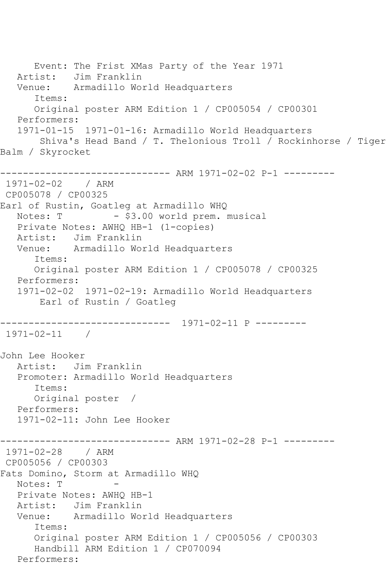Event: The Frist XMas Party of the Year 1971 Artist: Jim Franklin Venue: Armadillo World Headquarters Items: Original poster ARM Edition 1 / CP005054 / CP00301 Performers: 1971-01-15 1971-01-16: Armadillo World Headquarters Shiva's Head Band / T. Thelonious Troll / Rockinhorse / Tiger Balm / Skyrocket ------------------------------ ARM 1971-02-02 P-1 --------- 1971-02-02 / ARM CP005078 / CP00325 Earl of Rustin, Goatleg at Armadillo WHQ Notes: T - \$3.00 world prem. musical Private Notes: AWHQ HB-1 (1-copies) Artist: Jim Franklin Venue: Armadillo World Headquarters Items: Original poster ARM Edition 1 / CP005078 / CP00325 Performers: 1971-02-02 1971-02-19: Armadillo World Headquarters Earl of Rustin / Goatleg ------------------------------ 1971-02-11 P --------- 1971-02-11 / John Lee Hooker Artist: Jim Franklin Promoter: Armadillo World Headquarters Items: Original poster / Performers: 1971-02-11: John Lee Hooker ------------------------------ ARM 1971-02-28 P-1 --------- 1971-02-28 / ARM CP005056 / CP00303 Fats Domino, Storm at Armadillo WHQ Notes: T - Private Notes: AWHQ HB-1 Artist: Jim Franklin Venue: Armadillo World Headquarters Items: Original poster ARM Edition 1 / CP005056 / CP00303 Handbill ARM Edition 1 / CP070094 Performers: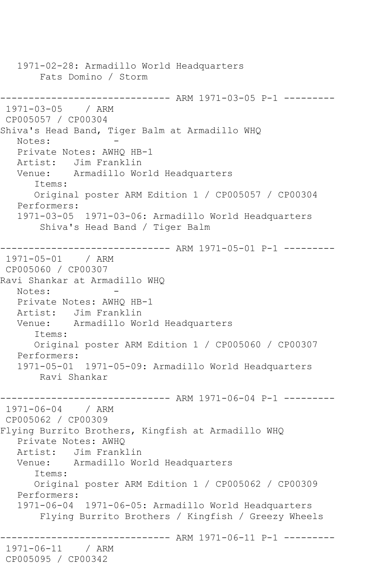1971-02-28: Armadillo World Headquarters Fats Domino / Storm ------------------------------ ARM 1971-03-05 P-1 --------- 1971-03-05 / ARM CP005057 / CP00304 Shiva's Head Band, Tiger Balm at Armadillo WHQ Notes: Private Notes: AWHQ HB-1 Artist: Jim Franklin Venue: Armadillo World Headquarters Items: Original poster ARM Edition 1 / CP005057 / CP00304 Performers: 1971-03-05 1971-03-06: Armadillo World Headquarters Shiva's Head Band / Tiger Balm ------------------------------ ARM 1971-05-01 P-1 --------- 1971-05-01 / ARM CP005060 / CP00307 Ravi Shankar at Armadillo WHQ Notes: Private Notes: AWHQ HB-1 Artist: Jim Franklin Venue: Armadillo World Headquarters Items: Original poster ARM Edition 1 / CP005060 / CP00307 Performers: 1971-05-01 1971-05-09: Armadillo World Headquarters Ravi Shankar ------------------------------ ARM 1971-06-04 P-1 --------- 1971-06-04 / ARM CP005062 / CP00309 Flying Burrito Brothers, Kingfish at Armadillo WHQ Private Notes: AWHQ Artist: Jim Franklin Venue: Armadillo World Headquarters Items: Original poster ARM Edition 1 / CP005062 / CP00309 Performers: 1971-06-04 1971-06-05: Armadillo World Headquarters Flying Burrito Brothers / Kingfish / Greezy Wheels ------------------------------ ARM 1971-06-11 P-1 --------- 1971-06-11 / ARM CP005095 / CP00342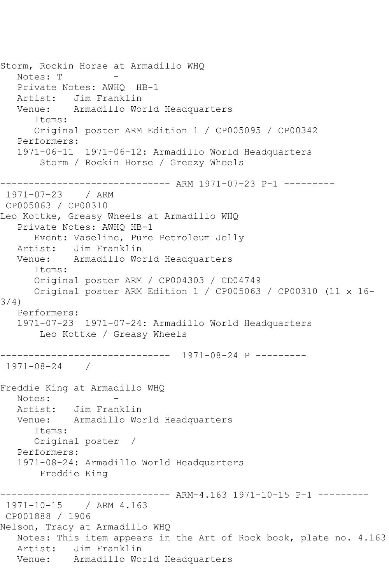Storm, Rockin Horse at Armadillo WHQ Notes: T Private Notes: AWHQ HB-1 Artist: Jim Franklin Venue: Armadillo World Headquarters Items: Original poster ARM Edition 1 / CP005095 / CP00342 Performers: 1971-06-11 1971-06-12: Armadillo World Headquarters Storm / Rockin Horse / Greezy Wheels ------------------------------ ARM 1971-07-23 P-1 --------- 1971-07-23 / ARM CP005063 / CP00310 Leo Kottke, Greasy Wheels at Armadillo WHQ Private Notes: AWHQ HB-1 Event: Vaseline, Pure Petroleum Jelly Artist: Jim Franklin Venue: Armadillo World Headquarters Items: Original poster ARM / CP004303 / CD04749 Original poster ARM Edition 1 / CP005063 / CP00310 (11 x 16- 3/4) Performers: 1971-07-23 1971-07-24: Armadillo World Headquarters Leo Kottke / Greasy Wheels ------------------------------ 1971-08-24 P --------- 1971-08-24 / Freddie King at Armadillo WHQ Notes: Artist: Jim Franklin Venue: Armadillo World Headquarters Items: Original poster / Performers: 1971-08-24: Armadillo World Headquarters Freddie King ------------------------------ ARM-4.163 1971-10-15 P-1 --------- 1971-10-15 / ARM 4.163 CP001888 / 1906 Nelson, Tracy at Armadillo WHQ Notes: This item appears in the Art of Rock book, plate no. 4.163 Artist: Jim Franklin Venue: Armadillo World Headquarters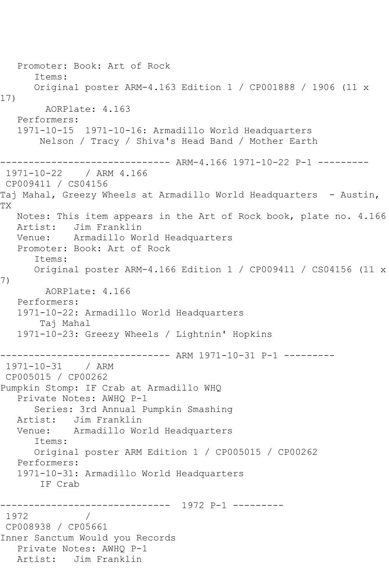```
 Promoter: Book: Art of Rock
       Items:
      Original poster ARM-4.163 Edition 1 / CP001888 / 1906 (11 x 
17)
        AORPlate: 4.163 
   Performers:
   1971-10-15 1971-10-16: Armadillo World Headquarters
       Nelson / Tracy / Shiva's Head Band / Mother Earth
------------------------------ ARM-4.166 1971-10-22 P-1 ---------
1971-10-22 / ARM 4.166
CP009411 / CS04156
Taj Mahal, Greezy Wheels at Armadillo World Headquarters - Austin,
TX
   Notes: This item appears in the Art of Rock book, plate no. 4.166
   Artist: Jim Franklin
   Venue: Armadillo World Headquarters
   Promoter: Book: Art of Rock
      Items:
      Original poster ARM-4.166 Edition 1 / CP009411 / CS04156 (11 x 
7)
        AORPlate: 4.166 
   Performers:
   1971-10-22: Armadillo World Headquarters
        Taj Mahal
   1971-10-23: Greezy Wheels / Lightnin' Hopkins
------------------------------ ARM 1971-10-31 P-1 ---------
1971-10-31 / ARM 
CP005015 / CP00262
Pumpkin Stomp: IF Crab at Armadillo WHQ
   Private Notes: AWHQ P-1
      Series: 3rd Annual Pumpkin Smashing
   Artist: Jim Franklin
   Venue: Armadillo World Headquarters
      Items:
      Original poster ARM Edition 1 / CP005015 / CP00262
   Performers:
   1971-10-31: Armadillo World Headquarters
       IF Crab
------------------------------ 1972 P-1 ---------
1972 / 
CP008938 / CP05661
Inner Sanctum Would you Records
   Private Notes: AWHQ P-1
   Artist: Jim Franklin
```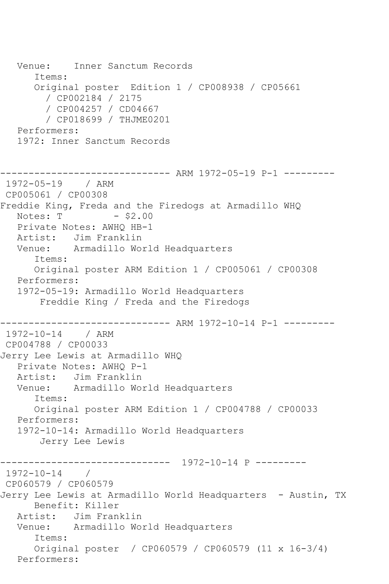Venue: Inner Sanctum Records Items: Original poster Edition 1 / CP008938 / CP05661 / CP002184 / 2175 / CP004257 / CD04667 / CP018699 / THJME0201 Performers: 1972: Inner Sanctum Records ------------------------------ ARM 1972-05-19 P-1 --------- 1972-05-19 / ARM CP005061 / CP00308 Freddie King, Freda and the Firedogs at Armadillo WHQ Notes:  $T - $2.00$  Private Notes: AWHQ HB-1 Artist: Jim Franklin Venue: Armadillo World Headquarters Items: Original poster ARM Edition 1 / CP005061 / CP00308 Performers: 1972-05-19: Armadillo World Headquarters Freddie King / Freda and the Firedogs ------------------------------ ARM 1972-10-14 P-1 --------- 1972-10-14 / ARM CP004788 / CP00033 Jerry Lee Lewis at Armadillo WHQ Private Notes: AWHQ P-1 Artist: Jim Franklin Venue: Armadillo World Headquarters Items: Original poster ARM Edition 1 / CP004788 / CP00033 Performers: 1972-10-14: Armadillo World Headquarters Jerry Lee Lewis ------------------------------ 1972-10-14 P --------- 1972-10-14 / CP060579 / CP060579 Jerry Lee Lewis at Armadillo World Headquarters - Austin, TX Benefit: Killer Artist: Jim Franklin Venue: Armadillo World Headquarters Items: Original poster / CP060579 / CP060579 (11 x 16-3/4) Performers: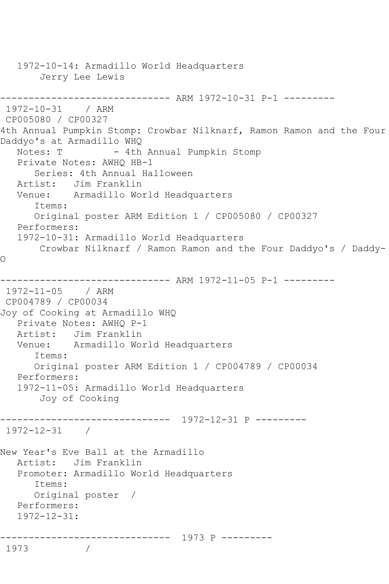```
 1972-10-14: Armadillo World Headquarters
        Jerry Lee Lewis
------------------------------ ARM 1972-10-31 P-1 ---------
1972-10-31 / ARM 
CP005080 / CP00327
4th Annual Pumpkin Stomp: Crowbar Nilknarf, Ramon Ramon and the Four 
Daddyo's at Armadillo WHQ<br>Notes: T - 4th
                    - 4th Annual Pumpkin Stomp
   Private Notes: AWHQ HB-1
       Series: 4th Annual Halloween
   Artist: Jim Franklin
   Venue: Armadillo World Headquarters
       Items:
      Original poster ARM Edition 1 / CP005080 / CP00327
   Performers:
   1972-10-31: Armadillo World Headquarters
       Crowbar Nilknarf / Ramon Ramon and the Four Daddyo's / Daddy-
O
------------------------------ ARM 1972-11-05 P-1 ---------
1972-11-05 / ARM 
CP004789 / CP00034
Joy of Cooking at Armadillo WHQ
   Private Notes: AWHQ P-1
   Artist: Jim Franklin
   Venue: Armadillo World Headquarters
       Items:
      Original poster ARM Edition 1 / CP004789 / CP00034
   Performers:
   1972-11-05: Armadillo World Headquarters
        Joy of Cooking
        ------------------------------ 1972-12-31 P ---------
1972-12-31 / 
New Year's Eve Ball at the Armadillo
   Artist: Jim Franklin
   Promoter: Armadillo World Headquarters
       Items:
      Original poster / 
   Performers:
   1972-12-31:
    ------------------------------ 1973 P ---------
1973 /
```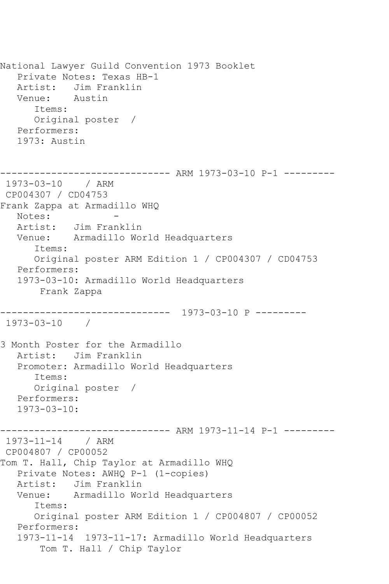National Lawyer Guild Convention 1973 Booklet Private Notes: Texas HB-1 Artist: Jim Franklin<br>Venue: Austin Venue: Items: Original poster / Performers: 1973: Austin ------------------------------ ARM 1973-03-10 P-1 --------- 1973-03-10 / ARM CP004307 / CD04753 Frank Zappa at Armadillo WHQ Notes:<br>Artist: Jim Franklin Venue: Armadillo World Headquarters Items: Original poster ARM Edition 1 / CP004307 / CD04753 Performers: 1973-03-10: Armadillo World Headquarters Frank Zappa ------------------------------ 1973-03-10 P --------- 1973-03-10 / 3 Month Poster for the Armadillo Artist: Jim Franklin Promoter: Armadillo World Headquarters Items: Original poster / Performers: 1973-03-10: ---------- ARM 1973-11-14 P-1 ---------1973-11-14 / ARM CP004807 / CP00052 Tom T. Hall, Chip Taylor at Armadillo WHQ Private Notes: AWHQ P-1 (1-copies) Artist: Jim Franklin Venue: Armadillo World Headquarters Items: Original poster ARM Edition 1 / CP004807 / CP00052 Performers: 1973-11-14 1973-11-17: Armadillo World Headquarters Tom T. Hall / Chip Taylor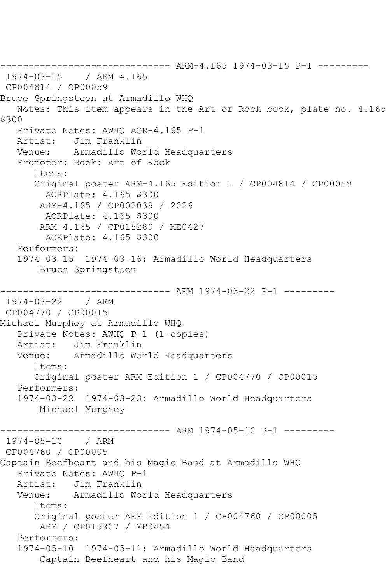------------------------------ ARM-4.165 1974-03-15 P-1 --------- / ARM 4.165 CP004814 / CP00059 Bruce Springsteen at Armadillo WHQ Notes: This item appears in the Art of Rock book, plate no. 4.165 \$300 Private Notes: AWHQ AOR-4.165 P-1 Artist: Jim Franklin Venue: Armadillo World Headquarters Promoter: Book: Art of Rock Items: Original poster ARM-4.165 Edition 1 / CP004814 / CP00059 AORPlate: 4.165 \$300 ARM-4.165 / CP002039 / 2026 AORPlate: 4.165 \$300 ARM-4.165 / CP015280 / ME0427 AORPlate: 4.165 \$300 Performers: 1974-03-15 1974-03-16: Armadillo World Headquarters Bruce Springsteen ------------------------------ ARM 1974-03-22 P-1 --------- 1974-03-22 / ARM CP004770 / CP00015 Michael Murphey at Armadillo WHQ Private Notes: AWHQ P-1 (1-copies) Artist: Jim Franklin Venue: Armadillo World Headquarters Items: Original poster ARM Edition 1 / CP004770 / CP00015 Performers: 1974-03-22 1974-03-23: Armadillo World Headquarters Michael Murphey ---------- ARM 1974-05-10 P-1 ---------1974-05-10 / ARM CP004760 / CP00005 Captain Beefheart and his Magic Band at Armadillo WHQ Private Notes: AWHQ P-1 Artist: Jim Franklin Venue: Armadillo World Headquarters Items: Original poster ARM Edition 1 / CP004760 / CP00005 ARM / CP015307 / ME0454 Performers: 1974-05-10 1974-05-11: Armadillo World Headquarters Captain Beefheart and his Magic Band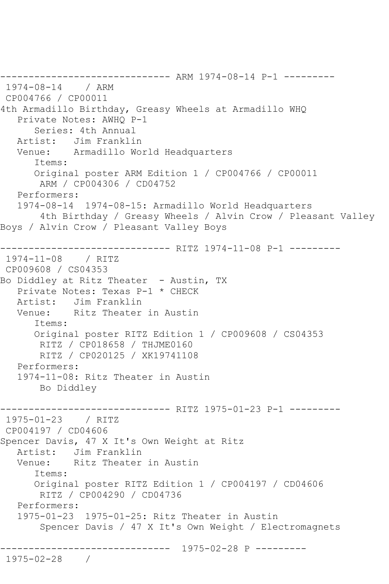------------------------------ ARM 1974-08-14 P-1 --------- 1974-08-14 / ARM CP004766 / CP00011 4th Armadillo Birthday, Greasy Wheels at Armadillo WHQ Private Notes: AWHQ P-1 Series: 4th Annual Artist: Jim Franklin Venue: Armadillo World Headquarters Items: Original poster ARM Edition 1 / CP004766 / CP00011 ARM / CP004306 / CD04752 Performers: 1974-08-14 1974-08-15: Armadillo World Headquarters 4th Birthday / Greasy Wheels / Alvin Crow / Pleasant Valley Boys / Alvin Crow / Pleasant Valley Boys ------------------------------ RITZ 1974-11-08 P-1 --------- 1974-11-08 / RITZ CP009608 / CS04353 Bo Diddley at Ritz Theater - Austin, TX Private Notes: Texas P-1 \* CHECK Artist: Jim Franklin<br>Venue: Ritz Theater Ritz Theater in Austin Items: Original poster RITZ Edition 1 / CP009608 / CS04353 RITZ / CP018658 / THJME0160 RITZ / CP020125 / XK19741108 Performers: 1974-11-08: Ritz Theater in Austin Bo Diddley ------------------------------ RITZ 1975-01-23 P-1 --------- 1975-01-23 / RITZ CP004197 / CD04606 Spencer Davis, 47 X It's Own Weight at Ritz Artist: Jim Franklin Venue: Ritz Theater in Austin Items: Original poster RITZ Edition 1 / CP004197 / CD04606 RITZ / CP004290 / CD04736 Performers: 1975-01-23 1975-01-25: Ritz Theater in Austin Spencer Davis / 47 X It's Own Weight / Electromagnets ------------------------------ 1975-02-28 P --------- 1975-02-28 /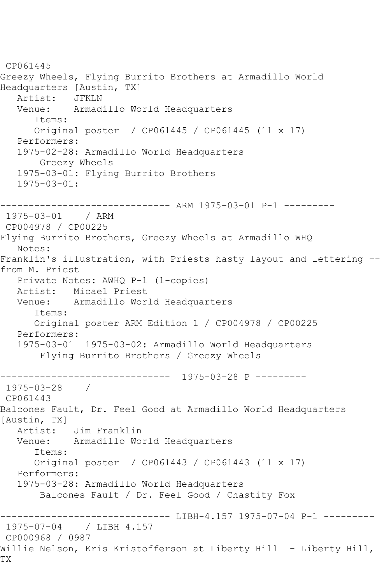CP061445 Greezy Wheels, Flying Burrito Brothers at Armadillo World Headquarters [Austin, TX] Artist: JFKLN<br>Venue: Armad Armadillo World Headquarters Items: Original poster / CP061445 / CP061445 (11 x 17) Performers: 1975-02-28: Armadillo World Headquarters Greezy Wheels 1975-03-01: Flying Burrito Brothers 1975-03-01: ------------------------------ ARM 1975-03-01 P-1 --------- 1975-03-01 / ARM CP004978 / CP00225 Flying Burrito Brothers, Greezy Wheels at Armadillo WHQ Notes: Franklin's illustration, with Priests hasty layout and lettering - from M. Priest Private Notes: AWHQ P-1 (1-copies) Artist: Micael Priest Venue: Armadillo World Headquarters Items: Original poster ARM Edition 1 / CP004978 / CP00225 Performers: 1975-03-01 1975-03-02: Armadillo World Headquarters Flying Burrito Brothers / Greezy Wheels ------------------------------ 1975-03-28 P --------- 1975-03-28 / CP061443 Balcones Fault, Dr. Feel Good at Armadillo World Headquarters<br>[Austin, TX] [Austin, TX] Artist: Jim Franklin Venue: Armadillo World Headquarters Items: Original poster / CP061443 / CP061443 (11 x 17) Performers: 1975-03-28: Armadillo World Headquarters Balcones Fault / Dr. Feel Good / Chastity Fox ------------- LIBH-4.157 1975-07-04 P-1 ---------1975-07-04 / LIBH 4.157 CP000968 / 0987 Willie Nelson, Kris Kristofferson at Liberty Hill - Liberty Hill, TX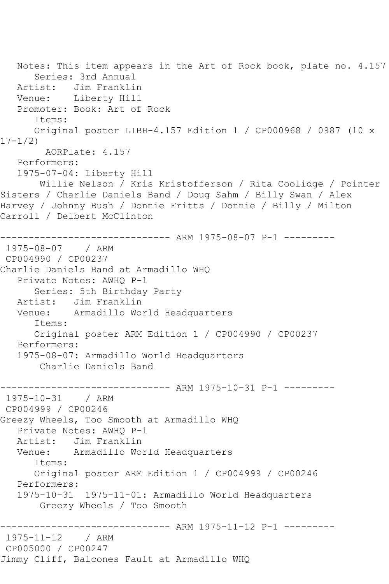Notes: This item appears in the Art of Rock book, plate no. 4.157 Series: 3rd Annual Artist: Jim Franklin Venue: Liberty Hill Promoter: Book: Art of Rock Items: Original poster LIBH-4.157 Edition 1 / CP000968 / 0987 (10 x 17-1/2) AORPlate: 4.157 Performers: 1975-07-04: Liberty Hill Willie Nelson / Kris Kristofferson / Rita Coolidge / Pointer Sisters / Charlie Daniels Band / Doug Sahm / Billy Swan / Alex Harvey / Johnny Bush / Donnie Fritts / Donnie / Billy / Milton Carroll / Delbert McClinton ------------------------------ ARM 1975-08-07 P-1 --------- 1975-08-07 / ARM CP004990 / CP00237 Charlie Daniels Band at Armadillo WHQ Private Notes: AWHQ P-1 Series: 5th Birthday Party Artist: Jim Franklin Venue: Armadillo World Headquarters Items: Original poster ARM Edition 1 / CP004990 / CP00237 Performers: 1975-08-07: Armadillo World Headquarters Charlie Daniels Band ------------------------------ ARM 1975-10-31 P-1 --------- 1975-10-31 / ARM CP004999 / CP00246 Greezy Wheels, Too Smooth at Armadillo WHQ Private Notes: AWHQ P-1 Artist: Jim Franklin Venue: Armadillo World Headquarters Items: Original poster ARM Edition 1 / CP004999 / CP00246 Performers: 1975-10-31 1975-11-01: Armadillo World Headquarters Greezy Wheels / Too Smooth ------------------------------ ARM 1975-11-12 P-1 --------- 1975-11-12 / ARM CP005000 / CP00247 Jimmy Cliff, Balcones Fault at Armadillo WHQ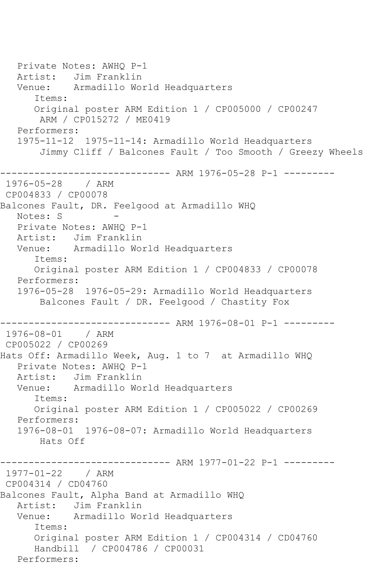Private Notes: AWHQ P-1 Artist: Jim Franklin Venue: Armadillo World Headquarters Items: Original poster ARM Edition 1 / CP005000 / CP00247 ARM / CP015272 / ME0419 Performers: 1975-11-12 1975-11-14: Armadillo World Headquarters Jimmy Cliff / Balcones Fault / Too Smooth / Greezy Wheels ------------------------------ ARM 1976-05-28 P-1 --------- 1976-05-28 / ARM CP004833 / CP00078 Balcones Fault, DR. Feelgood at Armadillo WHQ Notes: S Private Notes: AWHQ P-1 Artist: Jim Franklin Venue: Armadillo World Headquarters Items: Original poster ARM Edition 1 / CP004833 / CP00078 Performers: 1976-05-28 1976-05-29: Armadillo World Headquarters Balcones Fault / DR. Feelgood / Chastity Fox ------------------------------ ARM 1976-08-01 P-1 --------- 1976-08-01 / ARM CP005022 / CP00269 Hats Off: Armadillo Week, Aug. 1 to 7 at Armadillo WHQ Private Notes: AWHQ P-1 Artist: Jim Franklin Venue: Armadillo World Headquarters Items: Original poster ARM Edition 1 / CP005022 / CP00269 Performers: 1976-08-01 1976-08-07: Armadillo World Headquarters Hats Off ---------- ARM 1977-01-22 P-1 ---------1977-01-22 / ARM CP004314 / CD04760 Balcones Fault, Alpha Band at Armadillo WHQ Artist: Jim Franklin Venue: Armadillo World Headquarters Items: Original poster ARM Edition 1 / CP004314 / CD04760 Handbill / CP004786 / CP00031 Performers: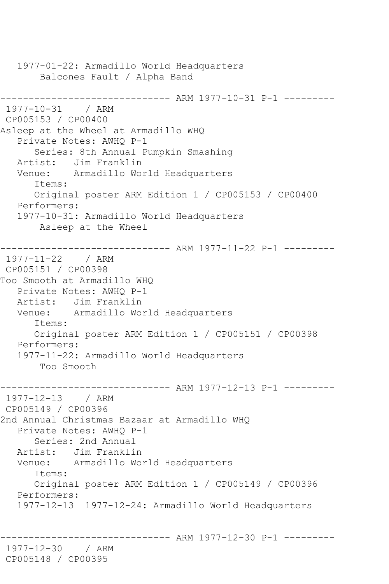1977-01-22: Armadillo World Headquarters Balcones Fault / Alpha Band ------------------------------ ARM 1977-10-31 P-1 ---------  $1977 - 10 - 31$ CP005153 / CP00400 Asleep at the Wheel at Armadillo WHQ Private Notes: AWHQ P-1 Series: 8th Annual Pumpkin Smashing Artist: Jim Franklin Venue: Armadillo World Headquarters Items: Original poster ARM Edition 1 / CP005153 / CP00400 Performers: 1977-10-31: Armadillo World Headquarters Asleep at the Wheel ------------------------------ ARM 1977-11-22 P-1 --------- 1977-11-22 / ARM CP005151 / CP00398 Too Smooth at Armadillo WHQ Private Notes: AWHQ P-1 Artist: Jim Franklin Venue: Armadillo World Headquarters Items: Original poster ARM Edition 1 / CP005151 / CP00398 Performers: 1977-11-22: Armadillo World Headquarters Too Smooth ------------------------------ ARM 1977-12-13 P-1 --------- 1977-12-13 / ARM CP005149 / CP00396 2nd Annual Christmas Bazaar at Armadillo WHQ Private Notes: AWHQ P-1 Series: 2nd Annual Artist: Jim Franklin Venue: Armadillo World Headquarters Items: Original poster ARM Edition 1 / CP005149 / CP00396 Performers: 1977-12-13 1977-12-24: Armadillo World Headquarters ---------- ARM 1977-12-30 P-1 ---------1977-12-30 / ARM CP005148 / CP00395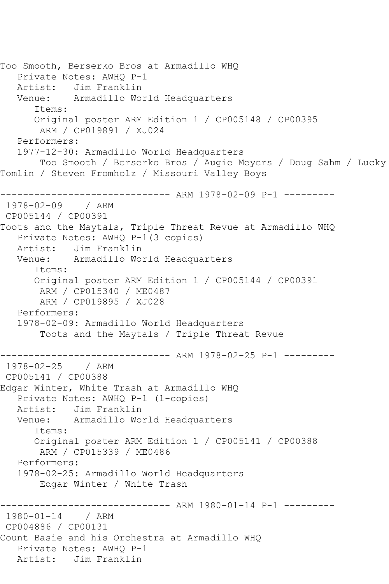```
Too Smooth, Berserko Bros at Armadillo WHQ
    Private Notes: AWHQ P-1
   Artist: Jim Franklin
   Venue: Armadillo World Headquarters
       Items:
       Original poster ARM Edition 1 / CP005148 / CP00395
        ARM / CP019891 / XJ024
   Performers:
    1977-12-30: Armadillo World Headquarters
        Too Smooth / Berserko Bros / Augie Meyers / Doug Sahm / Lucky 
Tomlin / Steven Fromholz / Missouri Valley Boys
------------------------------ ARM 1978-02-09 P-1 ---------
1978-02-09 / ARM 
CP005144 / CP00391
Toots and the Maytals, Triple Threat Revue at Armadillo WHQ
   Private Notes: AWHQ P-1(3 copies)
   Artist: Jim Franklin
   Venue: Armadillo World Headquarters
       Items:
       Original poster ARM Edition 1 / CP005144 / CP00391
        ARM / CP015340 / ME0487
        ARM / CP019895 / XJ028
   Performers:
    1978-02-09: Armadillo World Headquarters
        Toots and the Maytals / Triple Threat Revue
                    ----------- ARM 1978-02-25 P-1 ---------
1978-02-25 / ARM 
CP005141 / CP00388
Edgar Winter, White Trash at Armadillo WHQ
   Private Notes: AWHQ P-1 (1-copies)
  Artist: Jim Franklin<br>Venue: Armadillo Wo
            Armadillo World Headquarters
       Items:
       Original poster ARM Edition 1 / CP005141 / CP00388
        ARM / CP015339 / ME0486
   Performers:
    1978-02-25: Armadillo World Headquarters
        Edgar Winter / White Trash
                   ------------------------------ ARM 1980-01-14 P-1 ---------
1980-01-14 / ARM 
CP004886 / CP00131
Count Basie and his Orchestra at Armadillo WHQ
   Private Notes: AWHQ P-1
   Artist: Jim Franklin
```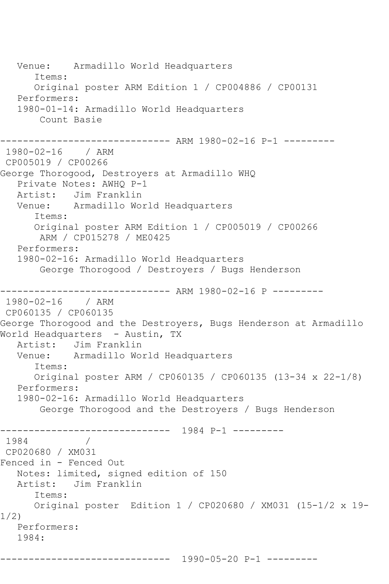Venue: Armadillo World Headquarters Items: Original poster ARM Edition 1 / CP004886 / CP00131 Performers: 1980-01-14: Armadillo World Headquarters Count Basie ------------------------------ ARM 1980-02-16 P-1 --------- 1980-02-16 / ARM CP005019 / CP00266 George Thorogood, Destroyers at Armadillo WHQ Private Notes: AWHQ P-1 Artist: Jim Franklin Venue: Armadillo World Headquarters Items: Original poster ARM Edition 1 / CP005019 / CP00266 ARM / CP015278 / ME0425 Performers: 1980-02-16: Armadillo World Headquarters George Thorogood / Destroyers / Bugs Henderson ------------------------------ ARM 1980-02-16 P --------- 1980-02-16 / ARM CP060135 / CP060135 George Thorogood and the Destroyers, Bugs Henderson at Armadillo World Headquarters - Austin, TX Artist: Jim Franklin Venue: Armadillo World Headquarters Items: Original poster ARM / CP060135 / CP060135 (13-34 x 22-1/8) Performers: 1980-02-16: Armadillo World Headquarters George Thorogood and the Destroyers / Bugs Henderson ------------------------------ 1984 P-1 --------- 1984 / CP020680 / XM031 Fenced in - Fenced Out Notes: limited, signed edition of 150 Artist: Jim Franklin Items: Original poster Edition 1 / CP020680 / XM031 (15-1/2 x 19- 1/2) Performers: 1984: ------------------------------ 1990-05-20 P-1 ---------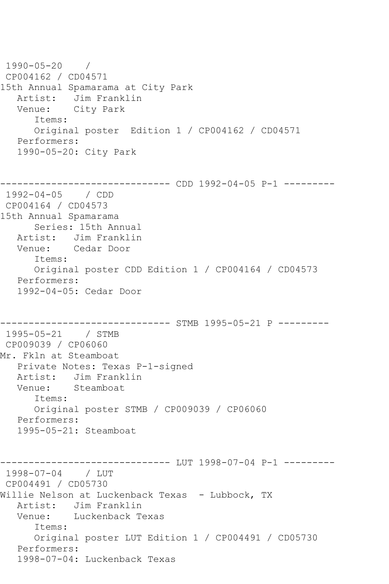1990-05-20 / CP004162 / CD04571 15th Annual Spamarama at City Park Artist: Jim Franklin Venue: City Park Items: Original poster Edition 1 / CP004162 / CD04571 Performers: 1990-05-20: City Park ------------------------------ CDD 1992-04-05 P-1 --------- 1992-04-05 / CDD CP004164 / CD04573 15th Annual Spamarama Series: 15th Annual Artist: Jim Franklin Venue: Cedar Door Items: Original poster CDD Edition 1 / CP004164 / CD04573 Performers: 1992-04-05: Cedar Door ----------------- STMB 1995-05-21 P ---------1995-05-21 / STMB CP009039 / CP06060 Mr. Fkln at Steamboat Private Notes: Texas P-1-signed Artist: Jim Franklin<br>Venue: Steamboat Steamboat Items: Original poster STMB / CP009039 / CP06060 Performers: 1995-05-21: Steamboat ------------------------------ LUT 1998-07-04 P-1 --------- 1998-07-04 / LUT CP004491 / CD05730 Willie Nelson at Luckenback Texas - Lubbock, TX Artist: Jim Franklin Venue: Luckenback Texas Items: Original poster LUT Edition 1 / CP004491 / CD05730 Performers: 1998-07-04: Luckenback Texas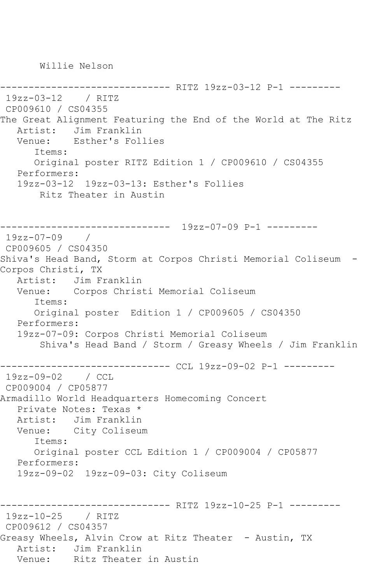Willie Nelson

```
------------------------------ RITZ 19zz-03-12 P-1 ---------
19zz-03-12 / RITZ 
CP009610 / CS04355
The Great Alignment Featuring the End of the World at The Ritz
  Artist: Jim Franklin<br>Venue: Esther's Fol.
            Esther's Follies
       Items:
       Original poster RITZ Edition 1 / CP009610 / CS04355
   Performers:
    19zz-03-12 19zz-03-13: Esther's Follies
        Ritz Theater in Austin
         ------------------------------ 19zz-07-09 P-1 ---------
19zz-07-09 / 
CP009605 / CS04350
Shiva's Head Band, Storm at Corpos Christi Memorial Coliseum -
Corpos Christi, TX
   Artist: Jim Franklin
   Venue: Corpos Christi Memorial Coliseum
       Items:
       Original poster Edition 1 / CP009605 / CS04350
   Performers:
    19zz-07-09: Corpos Christi Memorial Coliseum
        Shiva's Head Band / Storm / Greasy Wheels / Jim Franklin
------------------------------ CCL 19zz-09-02 P-1 ---------
19zz-09-02 / CCL 
CP009004 / CP05877
Armadillo World Headquarters Homecoming Concert
   Private Notes: Texas *
   Artist: Jim Franklin
   Venue: City Coliseum
       Items:
       Original poster CCL Edition 1 / CP009004 / CP05877
   Performers:
   19zz-09-02 19zz-09-03: City Coliseum
------------------------------ RITZ 19zz-10-25 P-1 ---------
19zz-10-25 / RITZ 
CP009612 / CS04357
Greasy Wheels, Alvin Crow at Ritz Theater - Austin, TX
  Artist: Jim Franklin<br>Venue: Ritz Theater
            Ritz Theater in Austin
```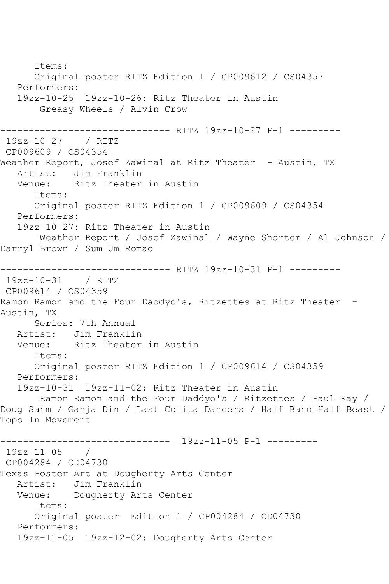Items: Original poster RITZ Edition 1 / CP009612 / CS04357 Performers: 19zz-10-25 19zz-10-26: Ritz Theater in Austin Greasy Wheels / Alvin Crow ------------------------------ RITZ 19zz-10-27 P-1 --------- 19zz-10-27 / RITZ CP009609 / CS04354 Weather Report, Josef Zawinal at Ritz Theater - Austin, TX Artist: Jim Franklin<br>Venue: Ritz Theater Ritz Theater in Austin Items: Original poster RITZ Edition 1 / CP009609 / CS04354 Performers: 19zz-10-27: Ritz Theater in Austin Weather Report / Josef Zawinal / Wayne Shorter / Al Johnson / Darryl Brown / Sum Um Romao ------------------------------ RITZ 19zz-10-31 P-1 --------- 19zz-10-31 / RITZ CP009614 / CS04359 Ramon Ramon and the Four Daddyo's, Ritzettes at Ritz Theater -Austin, TX Series: 7th Annual Artist: Jim Franklin Venue: Ritz Theater in Austin Items: Original poster RITZ Edition 1 / CP009614 / CS04359 Performers: 19zz-10-31 19zz-11-02: Ritz Theater in Austin Ramon Ramon and the Four Daddyo's / Ritzettes / Paul Ray / Doug Sahm / Ganja Din / Last Colita Dancers / Half Band Half Beast / Tops In Movement ------------------------------ 19zz-11-05 P-1 --------- 19zz-11-05 / CP004284 / CD04730 Texas Poster Art at Dougherty Arts Center Artist: Jim Franklin Venue: Dougherty Arts Center Items: Original poster Edition 1 / CP004284 / CD04730 Performers: 19zz-11-05 19zz-12-02: Dougherty Arts Center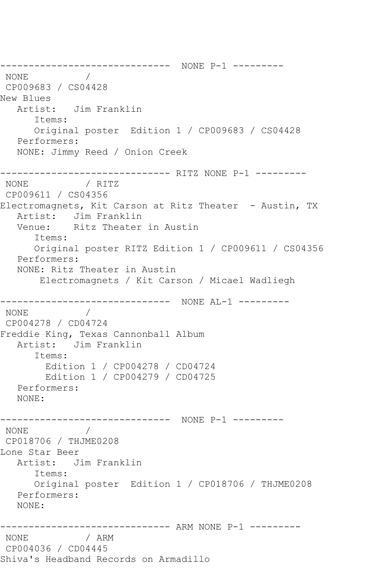------------------------------ NONE P-1 --------- NONE / CP009683 / CS04428 New Blues Artist: Jim Franklin Items: Original poster Edition 1 / CP009683 / CS04428 Performers: NONE: Jimmy Reed / Onion Creek ------------------------------ RITZ NONE P-1 --------- NONE / RITZ CP009611 / CS04356 Electromagnets, Kit Carson at Ritz Theater - Austin, TX Artist: Jim Franklin Venue: Ritz Theater in Austin Items: Original poster RITZ Edition 1 / CP009611 / CS04356 Performers: NONE: Ritz Theater in Austin Electromagnets / Kit Carson / Micael Wadliegh ------------------------------ NONE AL-1 --------- NONE / CP004278 / CD04724 Freddie King, Texas Cannonball Album Artist: Jim Franklin Items: Edition 1 / CP004278 / CD04724 Edition 1 / CP004279 / CD04725 Performers: NONE: ------------------------------ NONE P-1 --------- NONE / CP018706 / THJME0208 Lone Star Beer Artist: Jim Franklin Items: Original poster Edition 1 / CP018706 / THJME0208 Performers: NONE: ------------------------------ ARM NONE P-1 --------- NONE / ARM CP004036 / CD04445 Shiva's Headband Records on Armadillo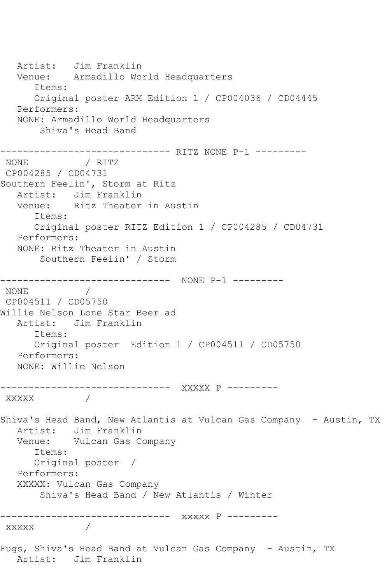Artist: Jim Franklin Venue: Armadillo World Headquarters Items: Original poster ARM Edition 1 / CP004036 / CD04445 Performers: NONE: Armadillo World Headquarters Shiva's Head Band ------------------------------ RITZ NONE P-1 --------- NONE **MONE** CP004285 / CD04731 Southern Feelin', Storm at Ritz Artist: Jim Franklin Venue: Ritz Theater in Austin Items: Original poster RITZ Edition 1 / CP004285 / CD04731 Performers: NONE: Ritz Theater in Austin Southern Feelin' / Storm ------------------------------ NONE P-1 --------- NONE / CP004511 / CD05750 Willie Nelson Lone Star Beer ad Artist: Jim Franklin Items: Original poster Edition 1 / CP004511 / CD05750 Performers: NONE: Willie Nelson ------------------------------ XXXXX P --------- XXXXX / Shiva's Head Band, New Atlantis at Vulcan Gas Company - Austin, TX Artist: Jim Franklin Venue: Vulcan Gas Company Items: Original poster / Performers: XXXXX: Vulcan Gas Company Shiva's Head Band / New Atlantis / Winter ------------------------------ xxxxx P -------- xxxxx / Fugs, Shiva's Head Band at Vulcan Gas Company - Austin, TX Artist: Jim Franklin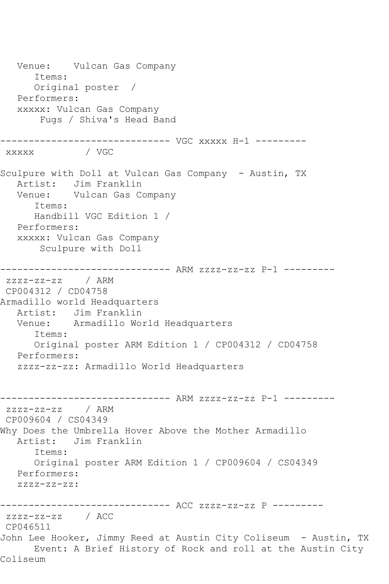Venue: Vulcan Gas Company Items: Original poster / Performers: xxxxx: Vulcan Gas Company Fugs / Shiva's Head Band ------------------------------ VGC xxxxx H-1 -------- xxxxx / VGC Sculpure with Doll at Vulcan Gas Company - Austin, TX Artist: Jim Franklin Venue: Vulcan Gas Company Items: Handbill VGC Edition 1 / Performers: xxxxx: Vulcan Gas Company Sculpure with Doll ------------------------------ ARM zzzz-zz-zz P-1 -------- zzzz-zz-zz / ARM CP004312 / CD04758 Armadillo world Headquarters Artist: Jim Franklin Venue: Armadillo World Headquarters Items: Original poster ARM Edition 1 / CP004312 / CD04758 Performers: zzzz-zz-zz: Armadillo World Headquarters ------------------------------ ARM zzzz-zz-zz P-1 -------- zzzz-zz-zz / ARM CP009604 / CS04349 Why Does the Umbrella Hover Above the Mother Armadillo Artist: Jim Franklin Items: Original poster ARM Edition 1 / CP009604 / CS04349 Performers: zzzz-zz-zz: ------------------------------ ACC zzzz-zz-zz P -------- zzzz-zz-zz / ACC CP046511 John Lee Hooker, Jimmy Reed at Austin City Coliseum - Austin, TX Event: A Brief History of Rock and roll at the Austin City Coliseum